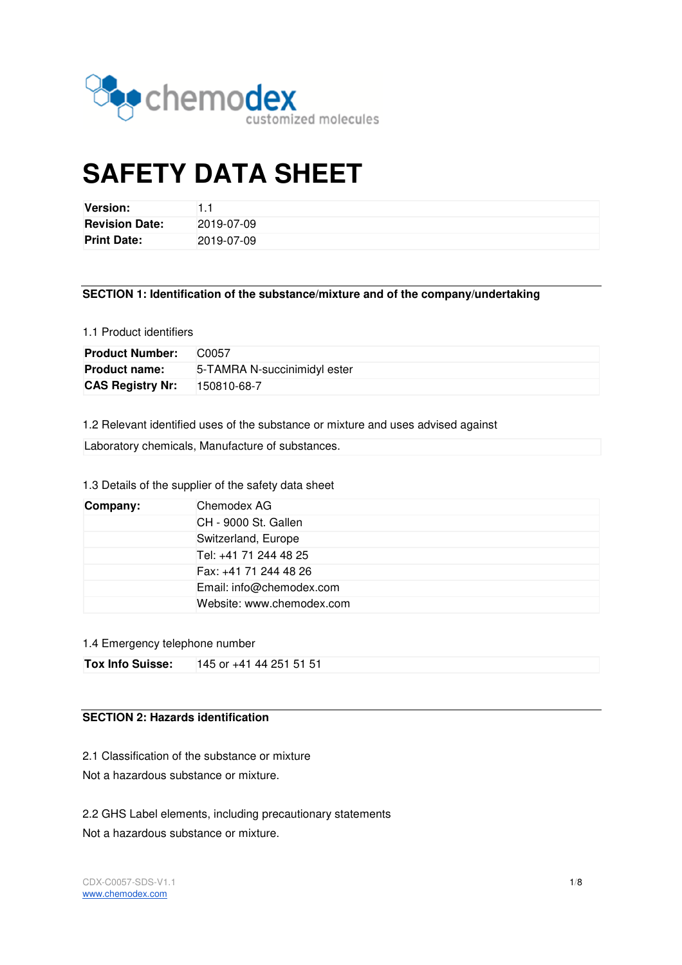

# **SAFETY DATA SHEET**

| Version:              |            |
|-----------------------|------------|
| <b>Revision Date:</b> | 2019-07-09 |
| <b>Print Date:</b>    | 2019-07-09 |

# **SECTION 1: Identification of the substance/mixture and of the company/undertaking**

#### 1.1 Product identifiers

| <b>Product Number:</b>  | C <sub>0057</sub>            |
|-------------------------|------------------------------|
| <b>Product name:</b>    | 5-TAMRA N-succinimidyl ester |
| <b>CAS Registry Nr:</b> | 150810-68-7                  |

1.2 Relevant identified uses of the substance or mixture and uses advised against

Laboratory chemicals, Manufacture of substances.

# 1.3 Details of the supplier of the safety data sheet

| Company:                  | Chemodex AG              |
|---------------------------|--------------------------|
|                           | CH - 9000 St. Gallen     |
|                           | Switzerland, Europe      |
|                           | Tel: +41 71 244 48 25    |
|                           | Fax: +41 71 244 48 26    |
|                           | Email: info@chemodex.com |
| Website: www.chemodex.com |                          |

#### 1.4 Emergency telephone number

| <b>Tox Info Suisse:</b> 145 or +41 44 251 51 51 |
|-------------------------------------------------|
|                                                 |

# **SECTION 2: Hazards identification**

2.1 Classification of the substance or mixture

Not a hazardous substance or mixture.

#### 2.2 GHS Label elements, including precautionary statements

Not a hazardous substance or mixture.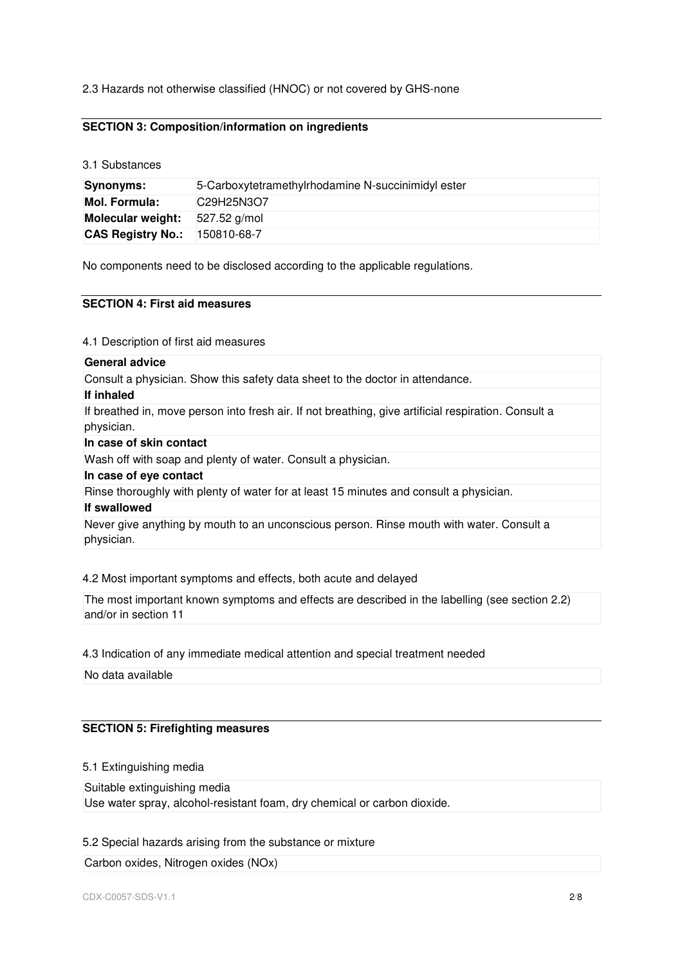2.3 Hazards not otherwise classified (HNOC) or not covered by GHS-none

# **SECTION 3: Composition/information on ingredients**

3.1 Substances

| <b>Synonyms:</b>                     | 5-Carboxytetramethylrhodamine N-succinimidyl ester |  |  |
|--------------------------------------|----------------------------------------------------|--|--|
| Mol. Formula:                        | C29H25N3O7                                         |  |  |
| Molecular weight:                    | 527.52 g/mol                                       |  |  |
| <b>CAS Registry No.: 150810-68-7</b> |                                                    |  |  |

No components need to be disclosed according to the applicable regulations.

## **SECTION 4: First aid measures**

4.1 Description of first aid measures

| <b>General advice</b>                                                                                              |
|--------------------------------------------------------------------------------------------------------------------|
| Consult a physician. Show this safety data sheet to the doctor in attendance.                                      |
| If inhaled                                                                                                         |
| If breathed in, move person into fresh air. If not breathing, give artificial respiration. Consult a<br>physician. |
| In case of skin contact                                                                                            |
| Wash off with soap and plenty of water. Consult a physician.                                                       |
| In case of eye contact                                                                                             |
| Rinse thoroughly with plenty of water for at least 15 minutes and consult a physician.                             |
| If swallowed                                                                                                       |
| Never give anything by mouth to an unconscious person. Rinse mouth with water. Consult a<br>physician.             |

#### 4.2 Most important symptoms and effects, both acute and delayed

The most important known symptoms and effects are described in the labelling (see section 2.2) and/or in section 11

4.3 Indication of any immediate medical attention and special treatment needed

No data available

#### **SECTION 5: Firefighting measures**

5.1 Extinguishing media

Suitable extinguishing media Use water spray, alcohol-resistant foam, dry chemical or carbon dioxide.

#### 5.2 Special hazards arising from the substance or mixture

Carbon oxides, Nitrogen oxides (NOx)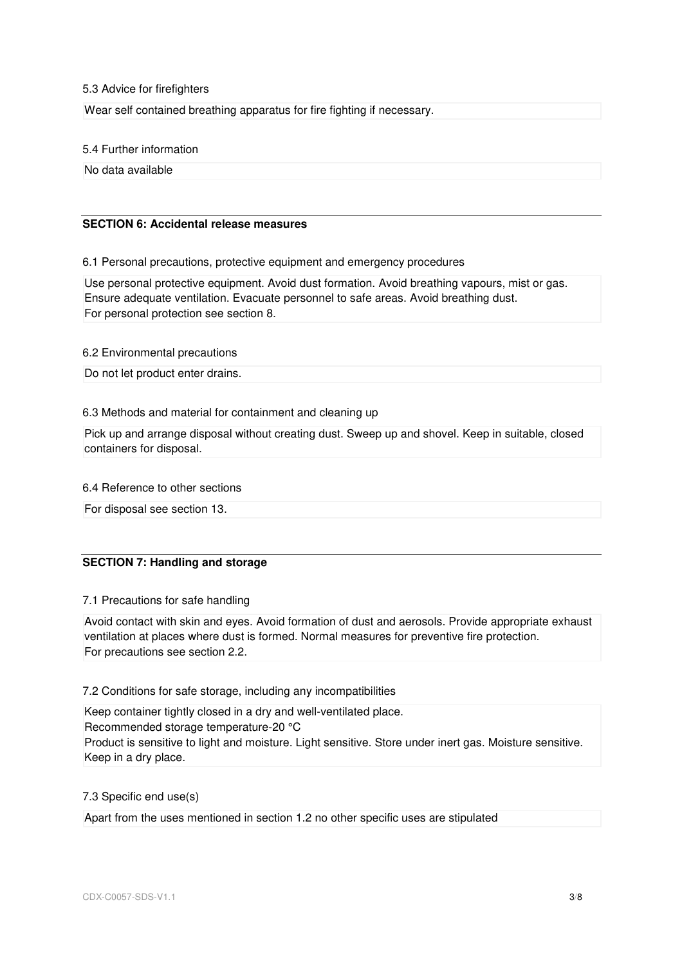#### 5.3 Advice for firefighters

Wear self contained breathing apparatus for fire fighting if necessary.

5.4 Further information

No data available

# **SECTION 6: Accidental release measures**

6.1 Personal precautions, protective equipment and emergency procedures

Use personal protective equipment. Avoid dust formation. Avoid breathing vapours, mist or gas. Ensure adequate ventilation. Evacuate personnel to safe areas. Avoid breathing dust. For personal protection see section 8.

6.2 Environmental precautions

Do not let product enter drains.

#### 6.3 Methods and material for containment and cleaning up

Pick up and arrange disposal without creating dust. Sweep up and shovel. Keep in suitable, closed containers for disposal.

6.4 Reference to other sections

For disposal see section 13.

# **SECTION 7: Handling and storage**

#### 7.1 Precautions for safe handling

Avoid contact with skin and eyes. Avoid formation of dust and aerosols. Provide appropriate exhaust ventilation at places where dust is formed. Normal measures for preventive fire protection. For precautions see section 2.2.

7.2 Conditions for safe storage, including any incompatibilities

Keep container tightly closed in a dry and well-ventilated place. Recommended storage temperature-20 °C Product is sensitive to light and moisture. Light sensitive. Store under inert gas. Moisture sensitive. Keep in a dry place.

#### 7.3 Specific end use(s)

Apart from the uses mentioned in section 1.2 no other specific uses are stipulated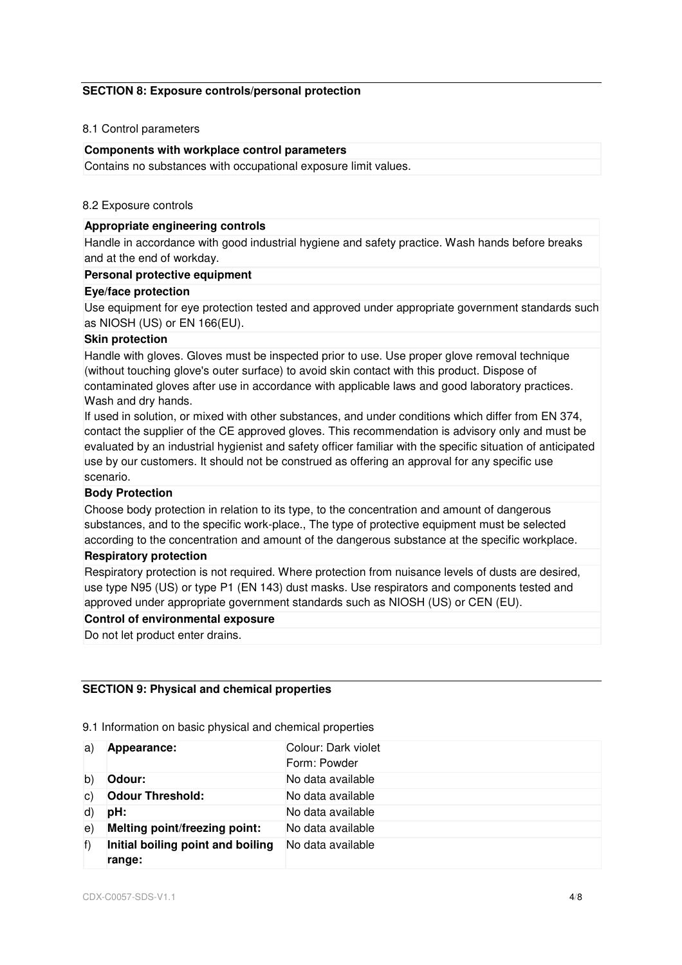## **SECTION 8: Exposure controls/personal protection**

# 8.1 Control parameters

#### **Components with workplace control parameters**

Contains no substances with occupational exposure limit values.

#### 8.2 Exposure controls

## **Appropriate engineering controls**

Handle in accordance with good industrial hygiene and safety practice. Wash hands before breaks and at the end of workday.

#### **Personal protective equipment**

#### **Eye/face protection**

Use equipment for eye protection tested and approved under appropriate government standards such as NIOSH (US) or EN 166(EU).

#### **Skin protection**

Handle with gloves. Gloves must be inspected prior to use. Use proper glove removal technique (without touching glove's outer surface) to avoid skin contact with this product. Dispose of contaminated gloves after use in accordance with applicable laws and good laboratory practices. Wash and dry hands.

If used in solution, or mixed with other substances, and under conditions which differ from EN 374, contact the supplier of the CE approved gloves. This recommendation is advisory only and must be evaluated by an industrial hygienist and safety officer familiar with the specific situation of anticipated use by our customers. It should not be construed as offering an approval for any specific use scenario.

#### **Body Protection**

Choose body protection in relation to its type, to the concentration and amount of dangerous substances, and to the specific work-place., The type of protective equipment must be selected according to the concentration and amount of the dangerous substance at the specific workplace.

#### **Respiratory protection**

Respiratory protection is not required. Where protection from nuisance levels of dusts are desired, use type N95 (US) or type P1 (EN 143) dust masks. Use respirators and components tested and approved under appropriate government standards such as NIOSH (US) or CEN (EU).

#### **Control of environmental exposure**

Do not let product enter drains.

# **SECTION 9: Physical and chemical properties**

9.1 Information on basic physical and chemical properties

| a)         | Appearance:                                 | Colour: Dark violet<br>Form: Powder |
|------------|---------------------------------------------|-------------------------------------|
| b)         | Odour:                                      | No data available                   |
| C)         | <b>Odour Threshold:</b>                     | No data available                   |
| d)         | pH:                                         | No data available                   |
| $\epsilon$ | Melting point/freezing point:               | No data available                   |
| f          | Initial boiling point and boiling<br>range: | No data available                   |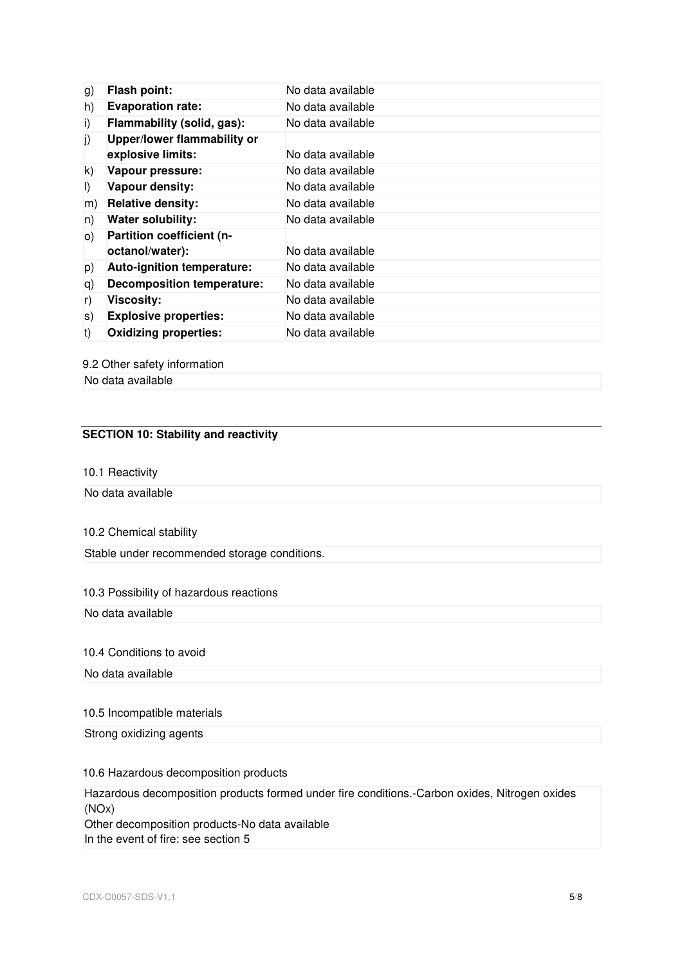| g)      | <b>Flash point:</b>                              | No data available |
|---------|--------------------------------------------------|-------------------|
| h)      | <b>Evaporation rate:</b>                         | No data available |
| i)      | Flammability (solid, gas):                       | No data available |
| j)      | Upper/lower flammability or<br>explosive limits: | No data available |
| k)      | Vapour pressure:                                 | No data available |
| $\vert$ | Vapour density:                                  | No data available |
| m)      | <b>Relative density:</b>                         | No data available |
| n)      | <b>Water solubility:</b>                         | No data available |
| O)      | Partition coefficient (n-<br>octanol/water):     | No data available |
| p)      | <b>Auto-ignition temperature:</b>                | No data available |
| q)      | <b>Decomposition temperature:</b>                | No data available |
| r)      | <b>Viscosity:</b>                                | No data available |
| S)      | <b>Explosive properties:</b>                     | No data available |
| t)      | <b>Oxidizing properties:</b>                     | No data available |

9.2 Other safety information

No data available

# **SECTION 10: Stability and reactivity**

## 10.1 Reactivity

No data available

# 10.2 Chemical stability

Stable under recommended storage conditions.

# 10.3 Possibility of hazardous reactions

No data available

#### 10.4 Conditions to avoid

No data available

#### 10.5 Incompatible materials

# Strong oxidizing agents

#### 10.6 Hazardous decomposition products

Hazardous decomposition products formed under fire conditions.-Carbon oxides, Nitrogen oxides (NOx) Other decomposition products-No data available

In the event of fire: see section 5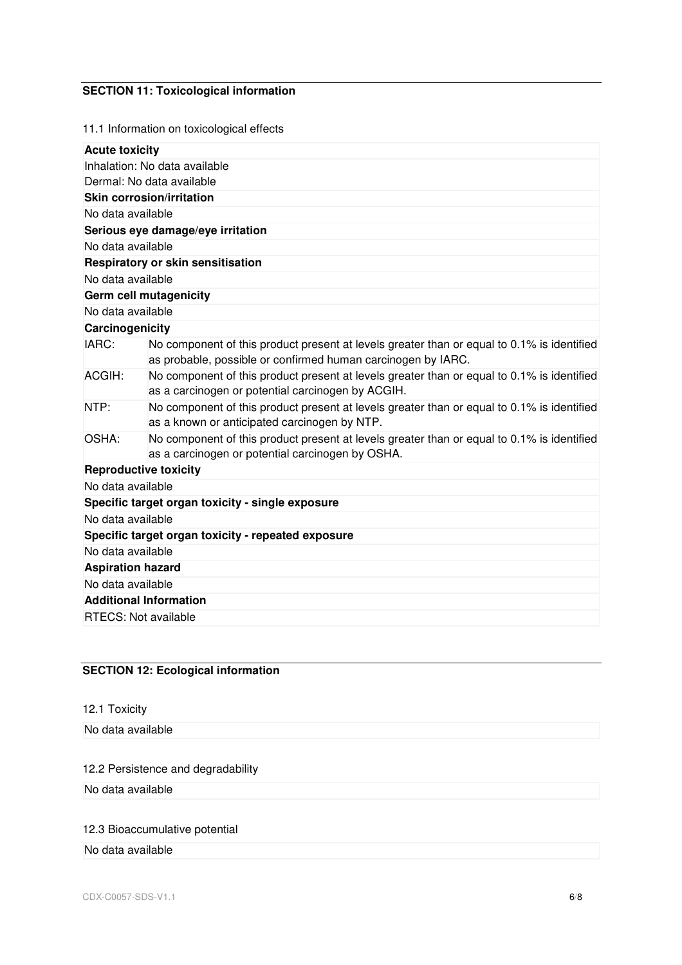# **SECTION 11: Toxicological information**

11.1 Information on toxicological effects

| <b>Acute toxicity</b>                              |                                                                                                                                                            |  |  |  |
|----------------------------------------------------|------------------------------------------------------------------------------------------------------------------------------------------------------------|--|--|--|
| Inhalation: No data available                      |                                                                                                                                                            |  |  |  |
|                                                    | Dermal: No data available                                                                                                                                  |  |  |  |
|                                                    | <b>Skin corrosion/irritation</b>                                                                                                                           |  |  |  |
| No data available                                  |                                                                                                                                                            |  |  |  |
|                                                    | Serious eye damage/eye irritation                                                                                                                          |  |  |  |
| No data available                                  |                                                                                                                                                            |  |  |  |
|                                                    | <b>Respiratory or skin sensitisation</b>                                                                                                                   |  |  |  |
| No data available                                  |                                                                                                                                                            |  |  |  |
|                                                    | Germ cell mutagenicity                                                                                                                                     |  |  |  |
| No data available                                  |                                                                                                                                                            |  |  |  |
| Carcinogenicity                                    |                                                                                                                                                            |  |  |  |
| IARC:                                              | No component of this product present at levels greater than or equal to 0.1% is identified<br>as probable, possible or confirmed human carcinogen by IARC. |  |  |  |
| ACGIH:                                             | No component of this product present at levels greater than or equal to 0.1% is identified<br>as a carcinogen or potential carcinogen by ACGIH.            |  |  |  |
| NTP:                                               | No component of this product present at levels greater than or equal to 0.1% is identified<br>as a known or anticipated carcinogen by NTP.                 |  |  |  |
| OSHA:                                              | No component of this product present at levels greater than or equal to 0.1% is identified<br>as a carcinogen or potential carcinogen by OSHA.             |  |  |  |
| <b>Reproductive toxicity</b>                       |                                                                                                                                                            |  |  |  |
| No data available                                  |                                                                                                                                                            |  |  |  |
|                                                    | Specific target organ toxicity - single exposure                                                                                                           |  |  |  |
|                                                    | No data available                                                                                                                                          |  |  |  |
| Specific target organ toxicity - repeated exposure |                                                                                                                                                            |  |  |  |
| No data available                                  |                                                                                                                                                            |  |  |  |
| <b>Aspiration hazard</b>                           |                                                                                                                                                            |  |  |  |
| No data available                                  |                                                                                                                                                            |  |  |  |
| <b>Additional Information</b>                      |                                                                                                                                                            |  |  |  |
| <b>RTECS: Not available</b>                        |                                                                                                                                                            |  |  |  |
|                                                    |                                                                                                                                                            |  |  |  |

# **SECTION 12: Ecological information**

| 12.1 Toxicity     |  |  |
|-------------------|--|--|
|                   |  |  |
| No data available |  |  |
|                   |  |  |
|                   |  |  |

# 12.2 Persistence and degradability

No data available

# 12.3 Bioaccumulative potential

# No data available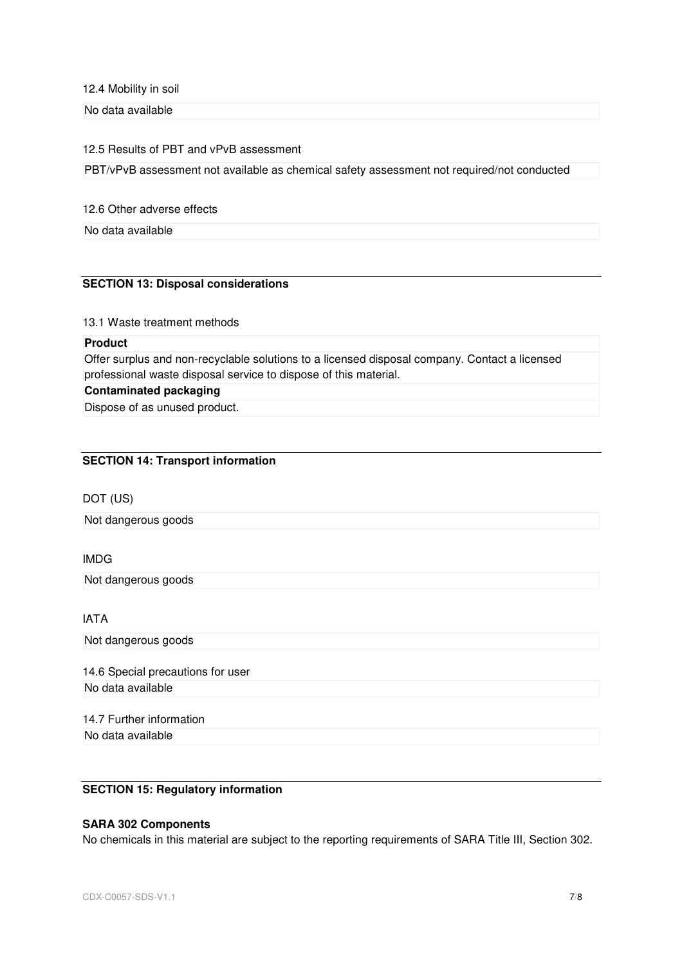12.4 Mobility in soil

No data available

#### 12.5 Results of PBT and vPvB assessment

PBT/vPvB assessment not available as chemical safety assessment not required/not conducted

12.6 Other adverse effects

No data available

# **SECTION 13: Disposal considerations**

#### 13.1 Waste treatment methods

# **Product**

Offer surplus and non-recyclable solutions to a licensed disposal company. Contact a licensed professional waste disposal service to dispose of this material.

# **Contaminated packaging**

Dispose of as unused product.

#### **SECTION 14: Transport information**

# DOT (US)

Not dangerous goods

# IMDG

Not dangerous goods

# IATA

Not dangerous goods

14.6 Special precautions for user No data available

# 14.7 Further information No data available

# **SECTION 15: Regulatory information**

# **SARA 302 Components**

No chemicals in this material are subject to the reporting requirements of SARA Title III, Section 302.